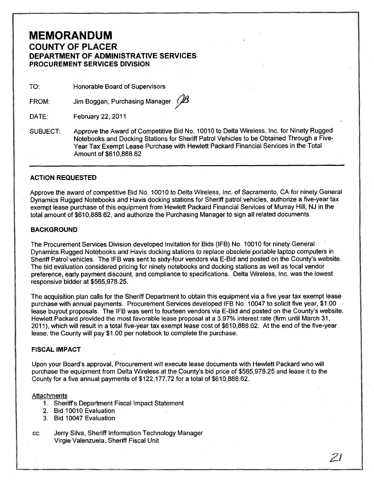# **MEMORANDUM COUNTY OF PLACER DEPARTMENT OF ADMINISTRATIVE SERVICES-PROCUREMENT SERVICES DIVISION**

TO: Honorable Board of Supervisors

FROM: Jim Boggan, Purchasing Manager  $\mathscr B$ 

DATE: February 22,2011

SUBJECT: Approve the Award of Competitive Bid No. 10010 to Delta Wireless, Inc. for Ninety Rugged Notebooks and Docking Stations for Sheriff Patrol Vehicles to be Obtained Through a Five-Year Tax Exempt Lease Purchase with Hewlett Packard'Financial Services in the Total Amount of \$610,888.62

### **ACTION REQUESTED**

Approve the award of competitive Bid No. 10010 to Delta Wireless, Inc. of Sacramento, CA for ninety General Dynamics Rugged Notebooks and Havis docking stations for Sheriff patrol vehicles, authorize a five-year tax exempt lease purchase of this equipment from Hewlett Packard Financial Services of Murray Hill, NJ in the total amount of \$610,888.62, and authorize the Purchasing Manager to sign all related documents.

### **BACKGROUND**

The Procurement Services Division developed Invitation for Bids (IFB) No. 10010 for ninety General Dynamics Rugged Notebooks and Havis docking stations to replace obsolete portable laptop computers in Sheriff Patrol vehicles. The IFB was sent to sixty-four vendors via E-Bid and posted on the County's website. The bid evaluation considered pricing for ninety notebooks and docking stations as well as local vendor preference, early payment discount, and compliance to specifications. Delta Wireless, Inc. was the lowest responsive bidder at \$565,978.25.

The acquisition plan calls for the Sheriff Department to obtain this equipment via a five year tax exempt lease purchase with annual payments. Procurement Services developed IFB No. 10047 to solicit five year, \$1.00 ' lease buyout proposals. The IFB was sent to fourteen vendors via E-Bid and posted on the County's website. Hewlett Packard provided the most favorable lease proposal at a 3.97% interest rate (firm until March 31, 2011), which will result in a total five-year tax exempt lease cost of \$610,888.62. At the end of the five-year lease, the County will pay \$1.00 per notebook to complete the purchase.

### **FISCAL IMPACT**

Upon your Board's approval, Procurement will execute lease documents with Hewlett Packard who will purchase the equipment from Delta Wireless at the County's bid price of \$565,978.25 and lease it to the County for a five annual payments of \$122,177.72 for a total of \$610,888.62.

21

#### Attachments

- 1. Sheriffs Department Fiscal Impact Statement
- 2. Bid 10010 Evaluation
- 3. Bid 10047 Evaluation
- cc: Jerry Silva, Sheriff Information Technology Manager Virgie Valenzuela, Sheriff Fiscal Unit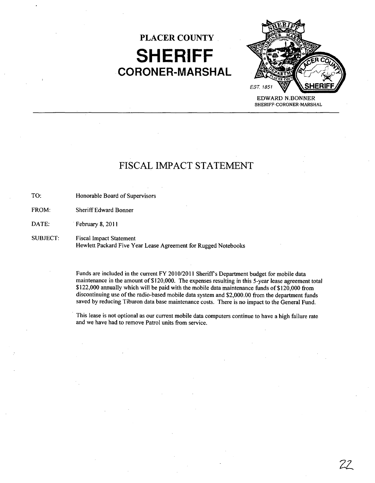# **PLACER COUNTY SHERIFF CORONER·MARSHAL**



FISCAL IMPACT STATEMENT

TO: Honorable Board of Supervisors

FROM: Sheriff Edward Bonner

DATE: February 8, 2011

SUBJECT: Fiscal Impact Statement Hewlett Packard Five Year Lease Agreement for Rugged Notebooks

> Funds are included in the current FY 2010/2011 Sheriffs Department budget for mobile data maintenance in the amount of \$120,000. The expenses resulting in this 5-year lease agreement total \$122,000 annually which will be paid with the mobile data maintenance funds of \$120,000 from discontinuing use of the radio-based mobile data system and \$2,000.00 from the department funds saved by reducing Tiburon data base maintenance costs. There is no impact to the General Fund.

This lease is not optional as our current mobile data computers continue to have a high failure rate and we have had to remove Patrol units from service.

22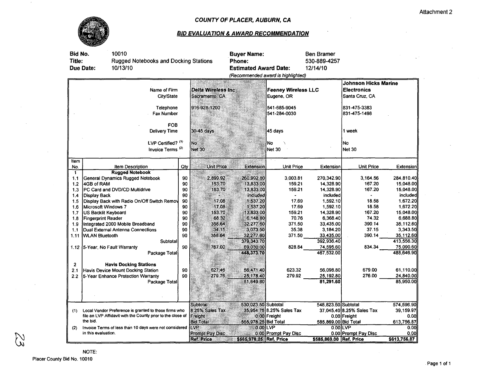

### COUNTY OF PLACER, AUBURN, CA

## **BID EVALUATION & AWARD RECOMMENDATION**

| Bid No.<br><b>Title:</b> | 10010<br>Rugged Notebooks and Docking Stations<br>10/13/10<br>Due Date: | <b>Buyer Name:</b><br><b>Phone:</b><br><b>Estimated Award Date:</b> | (Recommended award is highlighted) | Ben Bramer<br>530-889-4257<br>12/14/10   |                           |                                                                     |                           |              |  |
|--------------------------|-------------------------------------------------------------------------|---------------------------------------------------------------------|------------------------------------|------------------------------------------|---------------------------|---------------------------------------------------------------------|---------------------------|--------------|--|
|                          | Name of Firm<br>City/State                                              | Delta Wireless Inc<br>Sacramento, CA                                |                                    | <b>Feeney Wireless LLC</b><br>Eugene, OR |                           | <b>Johnson Hicks Marine</b><br><b>Electronics</b><br>Santa Cruz. CA |                           |              |  |
|                          | Telephone<br>Fax Number                                                 | 916-928-1200                                                        |                                    | 541-685-9045<br>541-284-0030             |                           | 831-475-3383<br>831-475-1498                                        |                           |              |  |
|                          | <b>FOB</b><br>Delivery Time                                             |                                                                     | $30-45$ days                       |                                          | 45 days                   |                                                                     | 1 week                    |              |  |
|                          | LVP Certified? (1)<br>Invoice Terms <sup>(2)</sup>                      | No.<br><b>Net 30</b>                                                |                                    | No<br><b>Net 30</b>                      |                           | No<br><b>Net 30</b>                                                 |                           |              |  |
| item                     |                                                                         |                                                                     |                                    |                                          |                           |                                                                     |                           |              |  |
| No.                      | Item Description                                                        | Qtv                                                                 | <b>Unit Price</b>                  | <b>Extension</b>                         | <b>Unit Price</b>         | Extension                                                           | <b>Unit Price</b>         | Extension    |  |
| $\ddot{\phantom{1}}$     | <b>Rugged Notebook</b><br><b>General Dynamics Rugged Notebook</b>       | 90                                                                  | 2,899.92                           | 260,992.80                               | 3.003.81                  | 270,342.90                                                          | 3,164.56                  | 284,810.40   |  |
| 1,1                      | 4GB of RAM                                                              | 90                                                                  | 153.70                             | 13,833.00                                | 159.21                    | 14,328.90                                                           | 167.20                    | 15,048.00    |  |
| 1.2<br>1,3               | PC Card and DVD/CD Multidrive                                           | 90                                                                  | 153.70                             | 13,833.00                                | 159.21                    | 14,328.90                                                           | 167.20                    | 15,048.00    |  |
| 1.4                      | Display Back                                                            | 90                                                                  |                                    | included                                 |                           | included                                                            |                           | included     |  |
| 1.5                      | Display Back with Radio On/Off Switch Remov                             | 90                                                                  | 17.08                              | 1,537.20                                 | 17.69                     | 1,592.10                                                            | 18.58                     | 1,672.20     |  |
| 1.6                      | Microsoft Windows 7                                                     | 90                                                                  | 17.08                              | 1,537.20                                 | 17.69                     | 1,592.10                                                            | 18.58                     | 1,672.20     |  |
| 1.7                      | <b>US Backlit Keyboard</b>                                              | 90                                                                  | 153.70                             | 13,833.00                                | 159.21                    | 14,328.90                                                           | 167.20                    | 15,048.00    |  |
| 1.8                      | Fingerprint Reader                                                      | 90                                                                  | 68.32                              | 6,148.80                                 | 70.76                     | 6,368.40                                                            | 74.32                     | 6,688.80     |  |
| 1.9                      | Integrated 2000 Mobile Broadband                                        | 90                                                                  | 358.64                             | 32,277.60                                | 371.50                    | 33,435.00                                                           | 390.14                    | 35,112.60    |  |
| 1.1                      | Dual External Antenna Connections                                       | 90                                                                  | 34.15                              | 3,073.50                                 | 35.38                     | 3,184.20                                                            | 37.15                     | 3,343.50     |  |
| 1.11                     | <b>WLAN Bluetooth</b>                                                   | 90                                                                  | 358.64                             | 32,277.60                                | 371.50                    | 33,435.00                                                           | 390.14                    | 35,112.60    |  |
|                          | Subtotal                                                                |                                                                     |                                    | 379,343.70                               |                           | 392,936.40                                                          |                           | 413,556.30   |  |
|                          | 1.12 5-Year, No Fault Warranty                                          | 90                                                                  | 767.00                             | 69,030.00                                | 828.84                    | 74,595.60                                                           | 834.34                    | 75,090.60    |  |
|                          | Package Total                                                           |                                                                     |                                    | 448,373.70                               |                           | 467,532.00                                                          |                           | 488,646.90   |  |
|                          |                                                                         |                                                                     |                                    |                                          |                           |                                                                     |                           |              |  |
| $\mathbf{2}$             | <b>Havis Docking Stations</b>                                           |                                                                     |                                    |                                          |                           |                                                                     |                           |              |  |
| 2.1                      | Havis Device Mount Docking Station                                      | 90                                                                  | 627.46                             | 56,471.40                                | 623.32                    | 56,098.80                                                           | 679.00                    | 61,110.00    |  |
| 2.2                      | 5-Year Enhance Protection Warranty                                      | 90                                                                  | 279.76                             | 25,178.40                                | 279.92                    | 25,192.80                                                           | 276.00                    | 24,840.00    |  |
|                          | Package Total                                                           |                                                                     |                                    | 81,649.80                                |                           | 81.291.60                                                           |                           | 85,950.00    |  |
|                          |                                                                         |                                                                     |                                    |                                          |                           |                                                                     |                           |              |  |
|                          |                                                                         |                                                                     | Subtotal                           | 530,023.50 Subtotal                      |                           | 548,823.60 Subtotal                                                 |                           | 574,596.90   |  |
| (1)                      | Local Vendor Preference is granted to those firms who                   |                                                                     | 8.25% Sales Tax                    |                                          | 35,954.75 8.25% Sales Tax |                                                                     | 37,045,40 8.25% Sales Tax | 39,159.97    |  |
|                          | file an LVP Affidavit with the County prior to the close of             |                                                                     | Freight                            |                                          | 0.00 Freight              |                                                                     | 0.00 Freight              | 0.00         |  |
|                          | the bid.                                                                |                                                                     | <b>Bid Total</b>                   | 565,978.25 Bid Total                     |                           | 585,869.00 Bid Total                                                |                           | 613,756.87   |  |
| (2)                      | Invoice Terms of less than 10 days were not considered                  |                                                                     | <b>LVP</b>                         |                                          | 0.00 LVP                  |                                                                     | $0.00$ LVP                | 0.00         |  |
|                          | in this evaluation.                                                     |                                                                     | <b>Prompt Pay Disc</b>             |                                          | 0.00 Prompt Pay Disc      |                                                                     | 0.00 Prompt Pay Disc      | 0.00         |  |
|                          |                                                                         |                                                                     | <b>Ref. Price</b>                  | \$565,978.25 Ref. Price                  |                           | \$585,869.00 Ref. Price                                             |                           | \$613,756.87 |  |

 $\mathbb{Z}$ 

 $\sim$